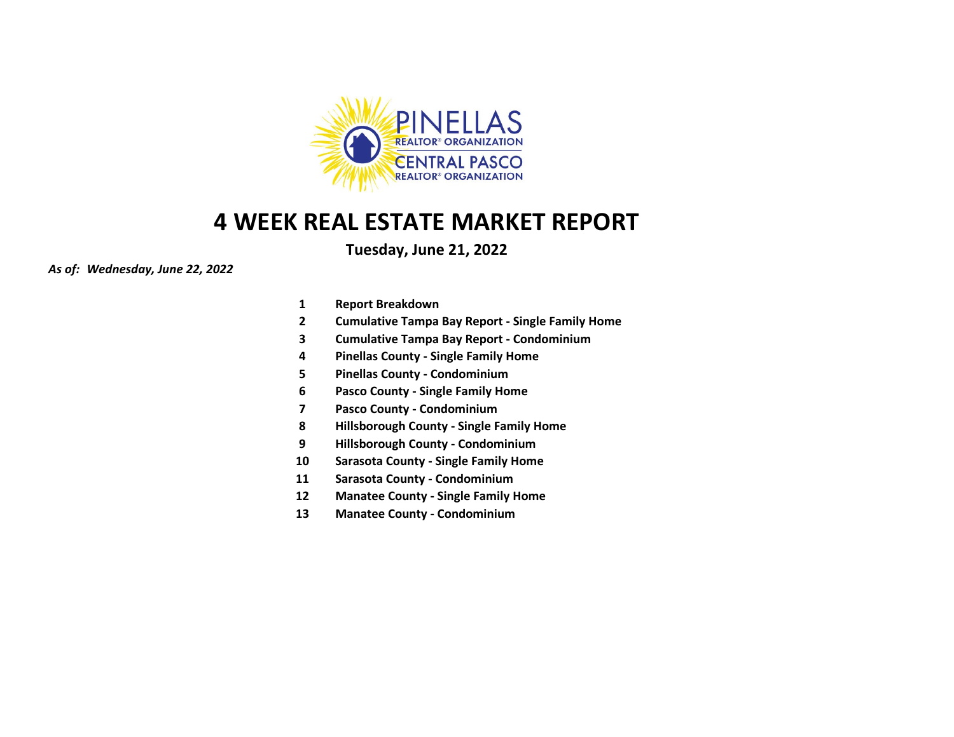

# **4 WEEK REAL ESTATE MARKET REPORT**

## **Tuesday, June 21, 2022**

*As of: Wednesday, June 22, 2022*

- **1 Report Breakdown**
- **2 Cumulative Tampa Bay Report - Single Family Home**
- **3 Cumulative Tampa Bay Report - Condominium**
- **4 Pinellas County - Single Family Home**
- **5 Pinellas County - Condominium**
- **6 Pasco County - Single Family Home**
- **7 Pasco County - Condominium**
- **8 Hillsborough County - Single Family Home**
- **9 Hillsborough County - Condominium**
- **10 Sarasota County - Single Family Home**
- **11 Sarasota County - Condominium**
- **12 Manatee County - Single Family Home**
- **13 Manatee County - Condominium**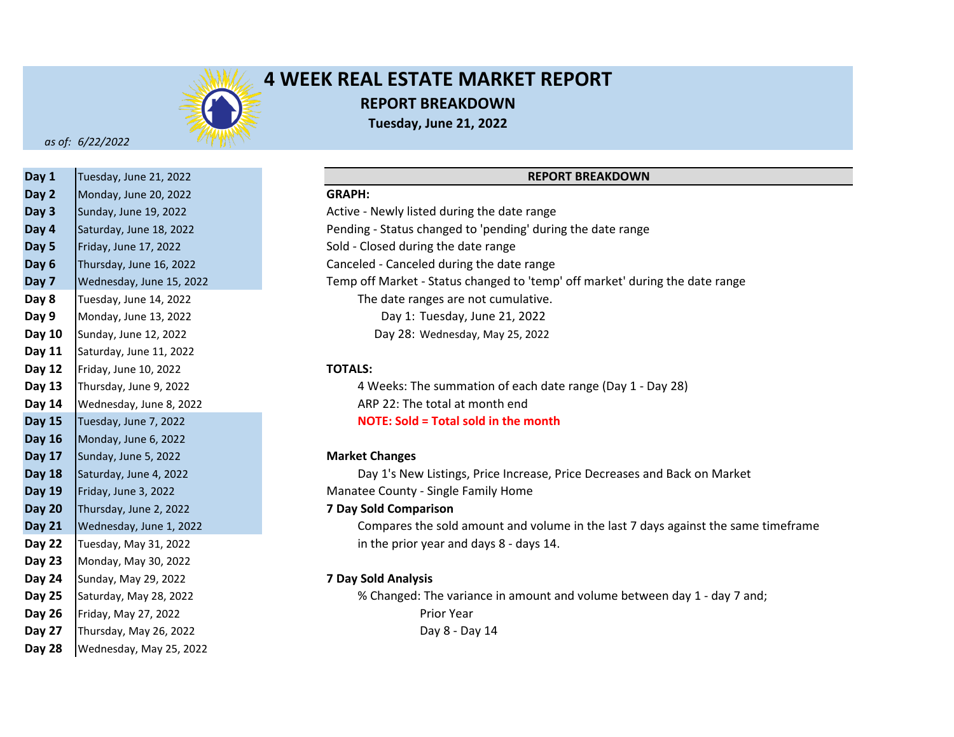

## **4 WEEK REAL ESTATE MARKET REPORT REPORT BREAKDOWN Tuesday, June 21, 2022**

*as of: 6/22/2022*

| Day 1         | Tuesday, June 21, 2022   |                              |
|---------------|--------------------------|------------------------------|
| Day 2         | Monday, June 20, 2022    | <b>GRAPH:</b>                |
| Day 3         | Sunday, June 19, 2022    | Active - Newly listed during |
| Day 4         | Saturday, June 18, 2022  | Pending - Status changed to  |
| Day 5         | Friday, June 17, 2022    | Sold - Closed during the dat |
| Day 6         | Thursday, June 16, 2022  | Canceled - Canceled during   |
| Day 7         | Wednesday, June 15, 2022 | Temp off Market - Status cl  |
| Day 8         | Tuesday, June 14, 2022   | The date ranges are n        |
| Day 9         | Monday, June 13, 2022    | Day 1: Tuesday, J            |
| Day 10        | Sunday, June 12, 2022    | Day 28: Wednesday            |
| Day 11        | Saturday, June 11, 2022  |                              |
| Day 12        | Friday, June 10, 2022    | <b>TOTALS:</b>               |
| Day 13        | Thursday, June 9, 2022   | 4 Weeks: The summa           |
| Day 14        | Wednesday, June 8, 2022  | ARP 22: The total at n       |
| <b>Day 15</b> | Tuesday, June 7, 2022    | <b>NOTE: Sold = Total so</b> |
| <b>Day 16</b> | Monday, June 6, 2022     |                              |
| Day 17        | Sunday, June 5, 2022     | <b>Market Changes</b>        |
| <b>Day 18</b> | Saturday, June 4, 2022   | Day 1's New Listings,        |
| Day 19        | Friday, June 3, 2022     | Manatee County - Single Fa   |
| <b>Day 20</b> | Thursday, June 2, 2022   | <b>7 Day Sold Comparison</b> |
| <b>Day 21</b> | Wednesday, June 1, 2022  | Compares the sold an         |
| Day 22        | Tuesday, May 31, 2022    | in the prior year and        |
| Day 23        | Monday, May 30, 2022     |                              |
| Day 24        | Sunday, May 29, 2022     | <b>7 Day Sold Analysis</b>   |
| Day 25        | Saturday, May 28, 2022   | % Changed: The varia         |
| <b>Day 26</b> | Friday, May 27, 2022     | Prior Year                   |
| Day 27        | Thursday, May 26, 2022   | Day 8 - Da                   |
| <b>Day 28</b> | Wednesday, May 25, 2022  |                              |

### **REPORT BREAKDOWN**

**Day 3** Active - Newly listed during the date range **Day 4** Pending - Status changed to 'pending' during the date range Sold - Closed during the date range Canceled - Canceled during the date range **Day 7** Temp off Market - Status changed to 'temp' off market' during the date range The date ranges are not cumulative. Day 1: Tuesday, June 21, 2022 Day 28: Wednesday, May 25, 2022

### **Day 12 TOTALS:**

**Day 13** 4 Weeks: The summation of each date range (Day 1 - Day 28) **Day 14** ARP 22: The total at month end **Day 15 NOTE: Sold = Total sold in the month**

### **Day 17 Market Changes**

Day 1's New Listings, Price Increase, Price Decreases and Back on Market **Day 19** Manatee County - Single Family Home

### **Day 20 7 Day Sold Comparison**

**Day 21** Compares the sold amount and volume in the last 7 days against the same timeframe **Day 22** in the prior year and days 8 - days 14.

### **Day 24 7 Day Sold Analysis**

**Day 25** % Changed: The variance in amount and volume between day 1 - day 7 and; Day 8 - Day 14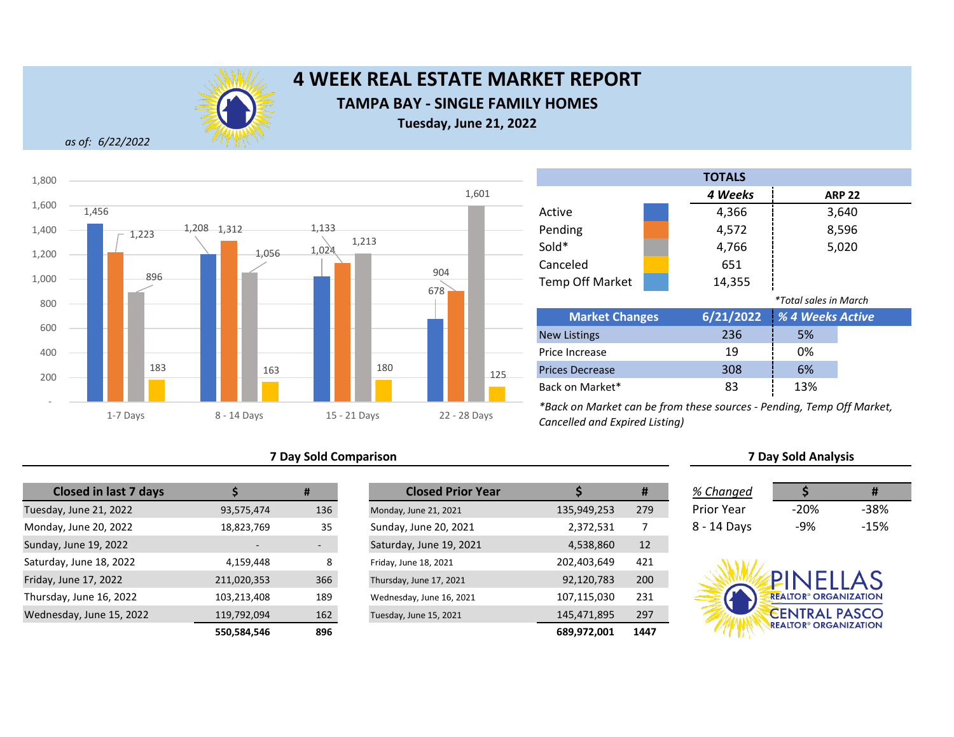

## **4 WEEK REAL ESTATE MARKET REPORT TAMPA BAY - SINGLE FAMILY HOMES Tuesday, June 21, 2022**

*as of: 6/22/2022*



## **7 Day Sold Comparison**

| <b>Closed in last 7 days</b> |             | #   | <b>Closed Prior Year</b> |             |
|------------------------------|-------------|-----|--------------------------|-------------|
| Tuesday, June 21, 2022       | 93,575,474  | 136 | Monday, June 21, 2021    | 135,949,253 |
| Monday, June 20, 2022        | 18,823,769  | 35  | Sunday, June 20, 2021    | 2,372,531   |
| Sunday, June 19, 2022        |             |     | Saturday, June 19, 2021  | 4,538,860   |
| Saturday, June 18, 2022      | 4,159,448   | 8   | Friday, June 18, 2021    | 202,403,649 |
| Friday, June 17, 2022        | 211,020,353 | 366 | Thursday, June 17, 2021  | 92,120,783  |
| Thursday, June 16, 2022      | 103,213,408 | 189 | Wednesday, June 16, 2021 | 107,115,030 |
| Wednesday, June 15, 2022     | 119,792,094 | 162 | Tuesday, June 15, 2021   | 145,471,895 |
|                              | 550.584.546 | 896 |                          | 689.972.001 |

| <b>Closed in last 7 days</b> |             | #   | <b>Closed Prior Year</b> |             | #    | % Changed         |                                         |        |
|------------------------------|-------------|-----|--------------------------|-------------|------|-------------------|-----------------------------------------|--------|
| ay, June 21, 2022            | 93,575,474  | 136 | Monday, June 21, 2021    | 135,949,253 | 279  | <b>Prior Year</b> | $-20%$                                  | $-38%$ |
| ay, June 20, 2022            | 18,823,769  | 35  | Sunday, June 20, 2021    | 2,372,531   |      | 8 - 14 Days       | -9%                                     | $-15%$ |
| y, June 19, 2022             |             |     | Saturday, June 19, 2021  | 4,538,860   | 12   |                   |                                         |        |
| lay, June 18, 2022           | 4,159,448   | 8   | Friday, June 18, 2021    | 202,403,649 | 421  |                   |                                         |        |
| , June 17, 2022              | 211,020,353 | 366 | Thursday, June 17, 2021  | 92,120,783  | 200  |                   | PINELLAS                                |        |
| day, June 16, 2022           | 103,213,408 | 189 | Wednesday, June 16, 2021 | 107,115,030 | 231  |                   | <b>REALTOR® ORGANIZATION</b>            |        |
| esday, June 15, 2022         | 119,792,094 | 162 | Tuesday, June 15, 2021   | 145,471,895 | 297  |                   | <b>CENTRAL PASCO</b>                    |        |
|                              | 550,584,546 | 896 |                          | 689,972,001 | 1447 |                   | <b>REALTOR<sup>®</sup> ORGANIZATION</b> |        |

Back on Market\*

|                        |  | <b>TOTALS</b> |                              |               |
|------------------------|--|---------------|------------------------------|---------------|
|                        |  | 4 Weeks       |                              | <b>ARP 22</b> |
| Active                 |  | 4,366         |                              | 3,640         |
| Pending                |  | 4,572         |                              | 8,596         |
| Sold*                  |  | 4,766         |                              | 5,020         |
| Canceled               |  | 651           |                              |               |
| <b>Temp Off Market</b> |  | 14,355        |                              |               |
|                        |  |               | <i>*Total sales in March</i> |               |
| <b>Market Changes</b>  |  | 6/21/2022     | % 4 Weeks Active             |               |
| <b>New Listings</b>    |  | 236           | 5%                           |               |
| Price Increase         |  | 19            | 0%                           |               |
| <b>Prices Decrease</b> |  | 308           | 6%                           |               |

*\*Back on Market can be from these sources - Pending, Temp Off Market, Cancelled and Expired Listing)*

| % Changed         |        | Ħ       |
|-------------------|--------|---------|
| <b>Prior Year</b> | $-20%$ | -38%    |
| 8 - 14 Days       | -9%    | $-1.5%$ |

**7 Day Sold Analysis**

83 13%

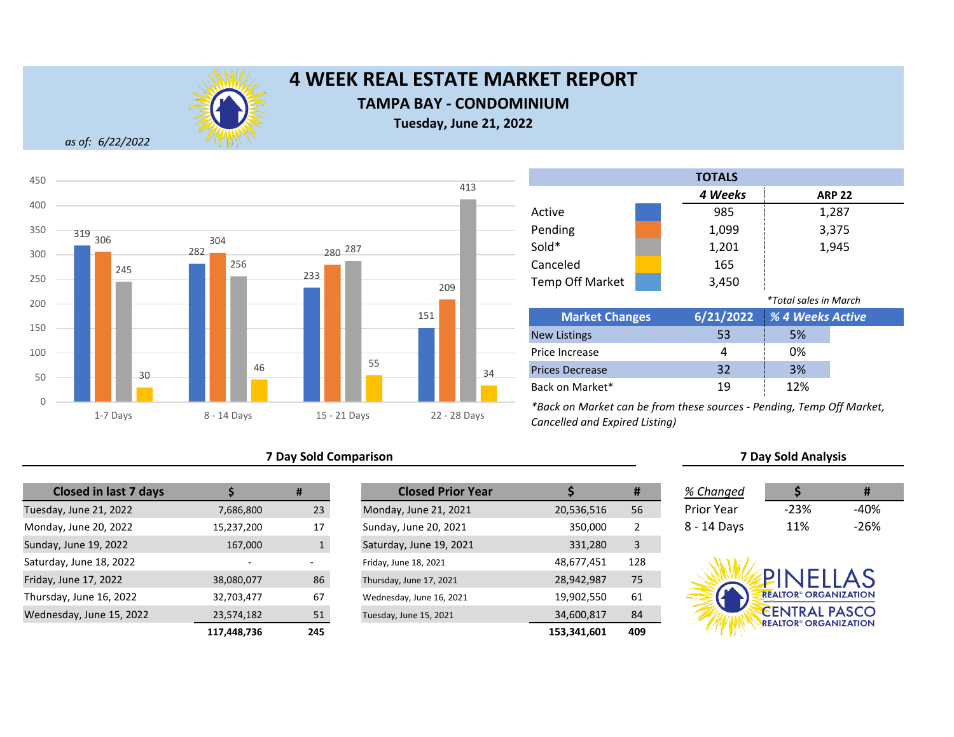

# **4 WEEK REAL ESTATE MARKET REPORT**

## **TAMPA BAY - CONDOMINIUM**

**Tuesday, June 21, 2022**

*as of: 6/22/2022*



## **7 Day Sold Comparison 7 Day Sold Analysis**

| <b>Closed in last 7 days</b> |             | #   | <b>Closed Prior Year</b> |             | #              |
|------------------------------|-------------|-----|--------------------------|-------------|----------------|
| Tuesday, June 21, 2022       | 7,686,800   | 23  | Monday, June 21, 2021    | 20,536,516  | 56             |
| Monday, June 20, 2022        | 15,237,200  | 17  | Sunday, June 20, 2021    | 350,000     | $\overline{2}$ |
| Sunday, June 19, 2022        | 167,000     | 1   | Saturday, June 19, 2021  | 331,280     | 3              |
| Saturday, June 18, 2022      |             |     | Friday, June 18, 2021    | 48,677,451  | 128            |
| Friday, June 17, 2022        | 38,080,077  | 86  | Thursday, June 17, 2021  | 28,942,987  | 75             |
| Thursday, June 16, 2022      | 32,703,477  | 67  | Wednesday, June 16, 2021 | 19,902,550  | 61             |
| Wednesday, June 15, 2022     | 23,574,182  | 51  | Tuesday, June 15, 2021   | 34,600,817  | 84             |
|                              | 117,448,736 | 245 |                          | 153,341,601 | 409            |

|                          | #   | <b>Closed Prior Year</b> |             | #              | % Changed   |                                         | #      |
|--------------------------|-----|--------------------------|-------------|----------------|-------------|-----------------------------------------|--------|
| 7,686,800                | 23  | Monday, June 21, 2021    | 20,536,516  | 56             | Prior Year  | $-23%$                                  | $-40%$ |
| 15,237,200               | 17  | Sunday, June 20, 2021    | 350,000     | $\overline{2}$ | 8 - 14 Days | 11%                                     | $-26%$ |
| 167,000                  |     | Saturday, June 19, 2021  | 331,280     | 3              |             |                                         |        |
| $\overline{\phantom{0}}$ |     | Friday, June 18, 2021    | 48,677,451  | 128            |             |                                         |        |
| 38,080,077               | 86  | Thursday, June 17, 2021  | 28,942,987  | 75             |             | PINELLAS                                |        |
| 32,703,477               | 67  | Wednesday, June 16, 2021 | 19,902,550  | 61             |             | <b>REALTOR<sup>®</sup> ORGANIZATION</b> |        |
| 23,574,182               | 51  | Tuesday, June 15, 2021   | 34,600,817  | 84             |             | <b>CENTRAL PASCO</b>                    |        |
| 117,448,736              | 245 |                          | 153,341,601 | 409            |             | <b>REALTOR<sup>®</sup> ORGANIZATION</b> |        |

Back on Market\*

|                              |  | <b>TOTALS</b> |                  |               |  |  |  |
|------------------------------|--|---------------|------------------|---------------|--|--|--|
|                              |  |               |                  | <b>ARP 22</b> |  |  |  |
| Active                       |  | 985           |                  | 1,287         |  |  |  |
| Pending                      |  | 1,099         |                  | 3,375         |  |  |  |
| Sold*                        |  | 1,201         |                  | 1,945         |  |  |  |
| Canceled                     |  | 165           |                  |               |  |  |  |
| <b>Temp Off Market</b>       |  | 3,450         |                  |               |  |  |  |
| <i>*Total sales in March</i> |  |               |                  |               |  |  |  |
| <b>Market Changes</b>        |  | 6/21/2022     | % 4 Weeks Active |               |  |  |  |
| <b>New Listings</b>          |  | 53            | 5%               |               |  |  |  |
| Price Increase               |  | 4             | 0%               |               |  |  |  |
| <b>Prices Decrease</b>       |  | 32            | 3%               |               |  |  |  |

*\*Back on Market can be from these sources - Pending, Temp Off Market, Cancelled and Expired Listing)*

| % Changed   |        | Ħ    |
|-------------|--------|------|
| Prior Year  | $-23%$ | -40% |
| 8 - 14 Days | 11%    | -26% |

19 12%

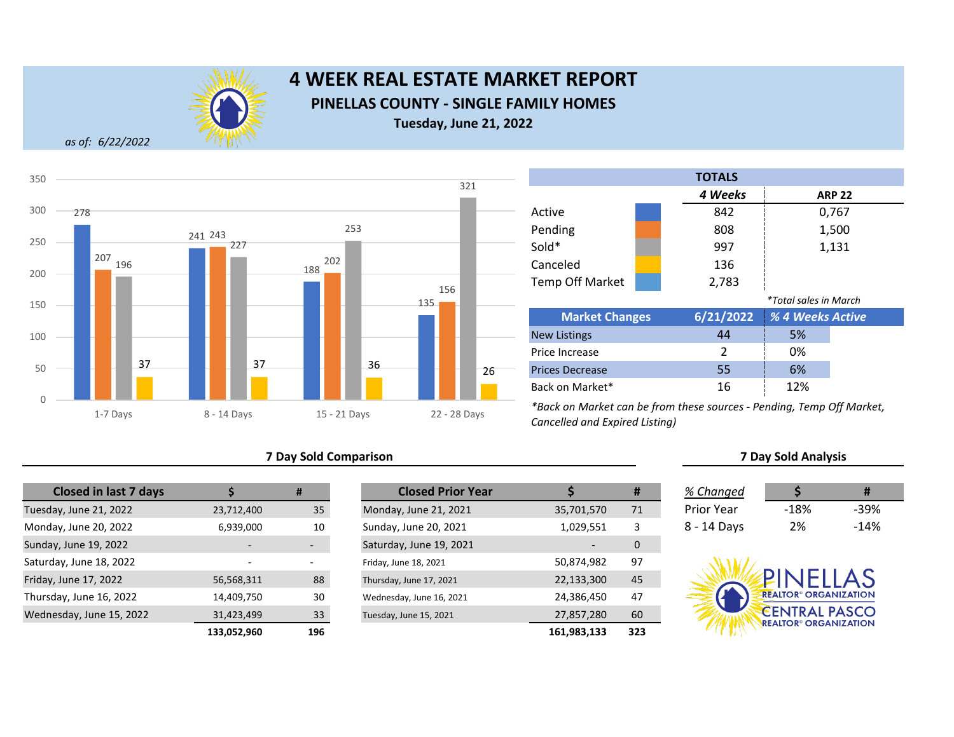

## **4 WEEK REAL ESTATE MARKET REPORT PINELLAS COUNTY - SINGLE FAMILY HOMES Tuesday, June 21, 2022**

*as of: 6/22/2022*



### **7 Day Sold Comparison**

| <b>Closed in last 7 days</b> |             | #   |
|------------------------------|-------------|-----|
| Tuesday, June 21, 2022       | 23,712,400  | 35  |
| Monday, June 20, 2022        | 6,939,000   | 10  |
| Sunday, June 19, 2022        |             |     |
| Saturday, June 18, 2022      |             |     |
| Friday, June 17, 2022        | 56,568,311  | 88  |
| Thursday, June 16, 2022      | 14,409,750  | 30  |
| Wednesday, June 15, 2022     | 31,423,499  | 33  |
|                              | 133,052,960 | 196 |

|                          | #                        | <b>Closed Prior Year</b> |             | #   | % Changed   |                                         | #      |
|--------------------------|--------------------------|--------------------------|-------------|-----|-------------|-----------------------------------------|--------|
| 23,712,400               | 35                       | Monday, June 21, 2021    | 35,701,570  | 71  | Prior Year  | $-18%$                                  | $-39%$ |
| 6,939,000                | 10                       | Sunday, June 20, 2021    | 1,029,551   | 3   | 8 - 14 Days | 2%                                      | $-14%$ |
| $\overline{\phantom{0}}$ | $\overline{\phantom{a}}$ | Saturday, June 19, 2021  |             | 0   |             |                                         |        |
|                          |                          | Friday, June 18, 2021    | 50,874,982  | 97  |             |                                         |        |
| 56,568,311               | 88                       | Thursday, June 17, 2021  | 22,133,300  | 45  |             | PINFIIAS                                |        |
| 14,409,750               | 30                       | Wednesday, June 16, 2021 | 24,386,450  | 47  |             | <b>REALTOR® ORGANIZATION</b>            |        |
| 31,423,499               | 33                       | Tuesday, June 15, 2021   | 27,857,280  | 60  |             | <b>CENTRAL PASCO</b>                    |        |
| 133,052,960              | 196                      |                          | 161,983,133 | 323 |             | <b>REALTOR<sup>®</sup> ORGANIZATION</b> |        |

|                        |  | <b>TOTALS</b> |                              |               |  |
|------------------------|--|---------------|------------------------------|---------------|--|
|                        |  | 4 Weeks       |                              | <b>ARP 22</b> |  |
| Active                 |  | 842           |                              | 0,767         |  |
| Pending                |  | 808           |                              | 1,500         |  |
| Sold*                  |  | 997           |                              | 1,131         |  |
| Canceled               |  | 136           |                              |               |  |
| <b>Temp Off Market</b> |  | 2,783         |                              |               |  |
|                        |  |               | <i>*Total sales in March</i> |               |  |
| <b>Market Changes</b>  |  | 6/21/2022     | <b>% 4 Weeks Active</b>      |               |  |
| <b>New Listings</b>    |  | 44            | 5%                           |               |  |
| Price Increase         |  | 2             | 0%                           |               |  |
| <b>Prices Decrease</b> |  | 55            | 6%                           |               |  |
| Back on Market*        |  | 16            | 12%                          |               |  |

*\*Back on Market can be from these sources - Pending, Temp Off Market, Cancelled and Expired Listing)*

| % Changed   |        | #      |
|-------------|--------|--------|
| Prior Year  | $-18%$ | -39%   |
| 8 - 14 Days | 2%     | $-14%$ |

**7 Day Sold Analysis**

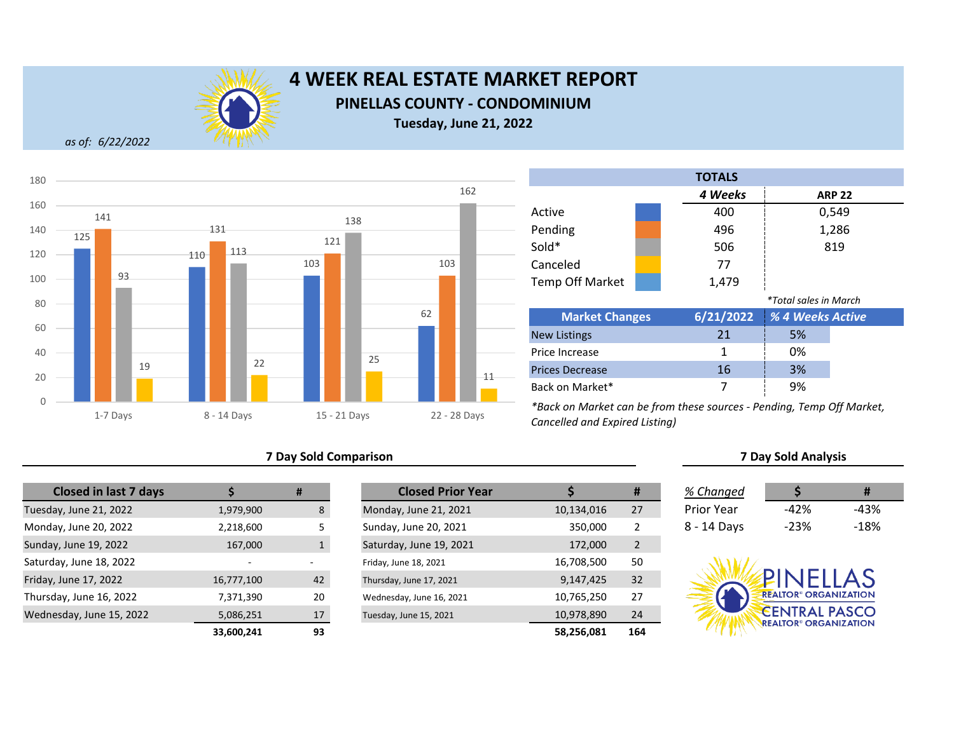

## **4 WEEK REAL ESTATE MARKET REPORT PINELLAS COUNTY - CONDOMINIUM**

**Tuesday, June 21, 2022**

*as of: 6/22/2022*



## **7 Day Sold Comparison 7 Day Sold Analysis**

| <b>Closed in last 7 days</b> |            | #            | <b>Closed Prior Year</b> |            |
|------------------------------|------------|--------------|--------------------------|------------|
| Tuesday, June 21, 2022       | 1,979,900  | 8            | Monday, June 21, 2021    | 10,134,016 |
| Monday, June 20, 2022        | 2,218,600  | 5            | Sunday, June 20, 2021    | 350,000    |
| Sunday, June 19, 2022        | 167,000    | $\mathbf{1}$ | Saturday, June 19, 2021  | 172,000    |
| Saturday, June 18, 2022      |            |              | Friday, June 18, 2021    | 16,708,500 |
| Friday, June 17, 2022        | 16,777,100 | 42           | Thursday, June 17, 2021  | 9,147,425  |
| Thursday, June 16, 2022      | 7,371,390  | 20           | Wednesday, June 16, 2021 | 10,765,250 |
| Wednesday, June 15, 2022     | 5,086,251  | 17           | Tuesday, June 15, 2021   | 10,978,890 |
|                              | 33.600.241 | 93           |                          | 58.256.081 |

|            | #  | <b>Closed Prior Year</b> |            | #              | % Changed   |                                         |        |
|------------|----|--------------------------|------------|----------------|-------------|-----------------------------------------|--------|
| 1,979,900  | 8  | Monday, June 21, 2021    | 10,134,016 | 27             | Prior Year  | -42%                                    | $-43%$ |
| 2,218,600  |    | Sunday, June 20, 2021    | 350,000    | $\overline{2}$ | 8 - 14 Days | $-23%$                                  | $-18%$ |
| 167,000    |    | Saturday, June 19, 2021  | 172,000    | $\overline{2}$ |             |                                         |        |
|            |    | Friday, June 18, 2021    | 16,708,500 | 50             |             |                                         |        |
| 16,777,100 | 42 | Thursday, June 17, 2021  | 9,147,425  | 32             |             | PINFIIAS                                |        |
| 7,371,390  | 20 | Wednesday, June 16, 2021 | 10,765,250 | 27             |             | <b>REALTOR® ORGANIZATION</b>            |        |
| 5,086,251  | 17 | Tuesday, June 15, 2021   | 10,978,890 | 24             |             | <b>CENTRAL PASCO</b>                    |        |
| 33,600,241 | 93 |                          | 58,256,081 | 164            |             | <b>REALTOR<sup>®</sup> ORGANIZATION</b> |        |

|                        | <b>TOTALS</b> |                              |               |  |
|------------------------|---------------|------------------------------|---------------|--|
|                        | 4 Weeks       |                              | <b>ARP 22</b> |  |
| Active                 | 400           |                              | 0,549         |  |
| Pending                | 496           |                              | 1,286         |  |
| Sold*                  | 506           |                              | 819           |  |
| Canceled               | 77            |                              |               |  |
| <b>Temp Off Market</b> | 1,479         |                              |               |  |
|                        |               | <i>*Total sales in March</i> |               |  |
| <b>Market Changes</b>  | 6/21/2022     | <b>% 4 Weeks Active</b>      |               |  |
| <b>New Listings</b>    | 21            | 5%                           |               |  |
| Price Increase         | 1             | 0%                           |               |  |
| <b>Prices Decrease</b> | 16            | <b>3%</b>                    |               |  |
| Back on Market*        | 7             | 9%                           |               |  |

| % Changed   |        | #    |
|-------------|--------|------|
| Prior Year  | -42%   | -43% |
| 8 - 14 Days | $-23%$ | -18% |

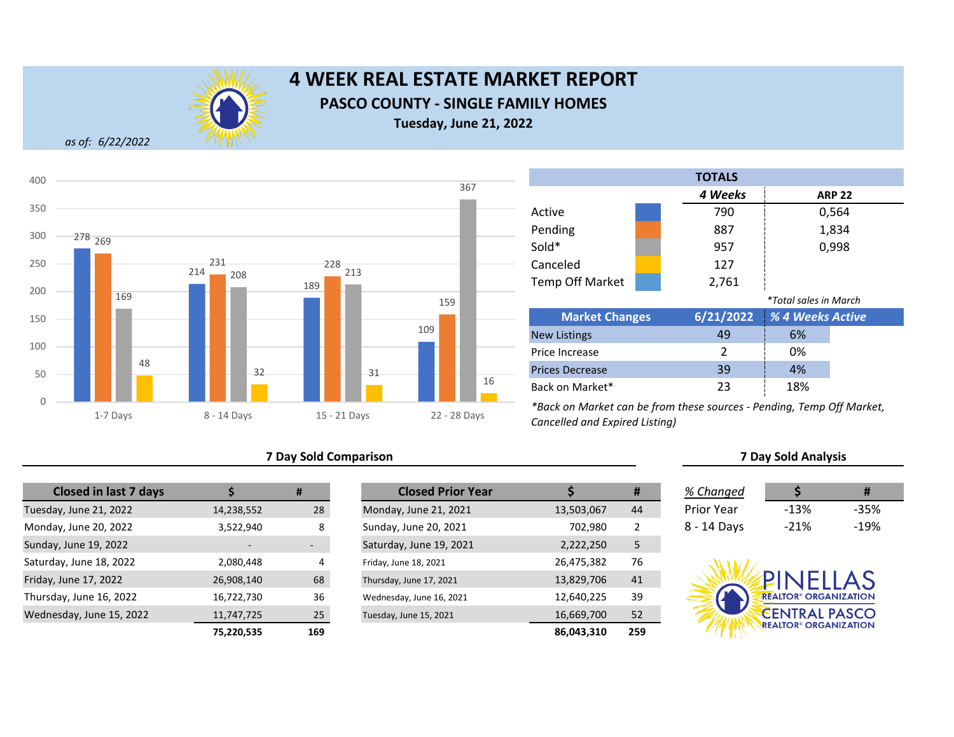

## **4 WEEK REAL ESTATE MARKET REPORT PASCO COUNTY - SINGLE FAMILY HOMES Tuesday, June 21, 2022**

*as of: 6/22/2022*



|                        | <b>TOTALS</b> |                              |               |
|------------------------|---------------|------------------------------|---------------|
|                        | 4 Weeks       |                              | <b>ARP 22</b> |
| Active                 | 790           |                              | 0,564         |
| Pending                | 887           |                              | 1,834         |
| Sold*                  | 957           |                              | 0,998         |
| Canceled               | 127           |                              |               |
| <b>Temp Off Market</b> | 2,761         |                              |               |
|                        |               | <i>*Total sales in March</i> |               |
| <b>Market Changes</b>  | 6/21/2022     | % 4 Weeks Active             |               |
| <b>New Listings</b>    | 49            | 6%                           |               |
| Price Increase         | $\mathcal{P}$ | 0%                           |               |
| <b>Prices Decrease</b> | 39            | 4%                           |               |
| Back on Market*        | 23            | 18%                          |               |

*\*Back on Market can be from these sources - Pending, Temp Off Market, Cancelled and Expired Listing)*

## **7 Day Sold Comparison 7 Day Sold Analysis**

| <b>Closed in last 7 days</b> |            | #   | <b>Closed Prior Year</b> |
|------------------------------|------------|-----|--------------------------|
| Tuesday, June 21, 2022       | 14,238,552 | 28  | Monday, June 21, 2021    |
| Monday, June 20, 2022        | 3,522,940  | 8   | Sunday, June 20, 2021    |
| Sunday, June 19, 2022        |            |     | Saturday, June 19, 2021  |
| Saturday, June 18, 2022      | 2,080,448  | 4   | Friday, June 18, 2021    |
| Friday, June 17, 2022        | 26,908,140 | 68  | Thursday, June 17, 2021  |
| Thursday, June 16, 2022      | 16,722,730 | 36  | Wednesday, June 16, 2021 |
| Wednesday, June 15, 2022     | 11,747,725 | 25  | Tuesday, June 15, 2021   |
|                              | 75 220 535 | 169 |                          |

|                          | #                        | <b>Closed Prior Year</b> |            | #              | % Changed   |                                         | #      |
|--------------------------|--------------------------|--------------------------|------------|----------------|-------------|-----------------------------------------|--------|
| 14,238,552               | 28                       | Monday, June 21, 2021    | 13,503,067 | 44             | Prior Year  | $-13%$                                  | $-35%$ |
| 3,522,940                | 8                        | Sunday, June 20, 2021    | 702,980    | $\overline{2}$ | 8 - 14 Days | $-21%$                                  | $-19%$ |
| $\overline{\phantom{0}}$ | $\overline{\phantom{a}}$ | Saturday, June 19, 2021  | 2,222,250  | 5              |             |                                         |        |
| 2,080,448                | 4                        | Friday, June 18, 2021    | 26,475,382 | 76             |             |                                         |        |
| 26,908,140               | 68                       | Thursday, June 17, 2021  | 13,829,706 | 41             |             | PINELLAS                                |        |
| 16,722,730               | 36                       | Wednesday, June 16, 2021 | 12,640,225 | 39             |             | <b>REALTOR® ORGANIZATION</b>            |        |
| 11,747,725               | 25                       | Tuesday, June 15, 2021   | 16,669,700 | 52             |             | <b>CENTRAL PASCO</b>                    |        |
| 75,220,535               | 169                      |                          | 86,043,310 | 259            |             | <b>REALTOR<sup>®</sup> ORGANIZATION</b> |        |

| % Changed   |        | #      |  |
|-------------|--------|--------|--|
| Prior Year  | $-13%$ | -35%   |  |
| 3 - 14 Days | $-21%$ | $-19%$ |  |

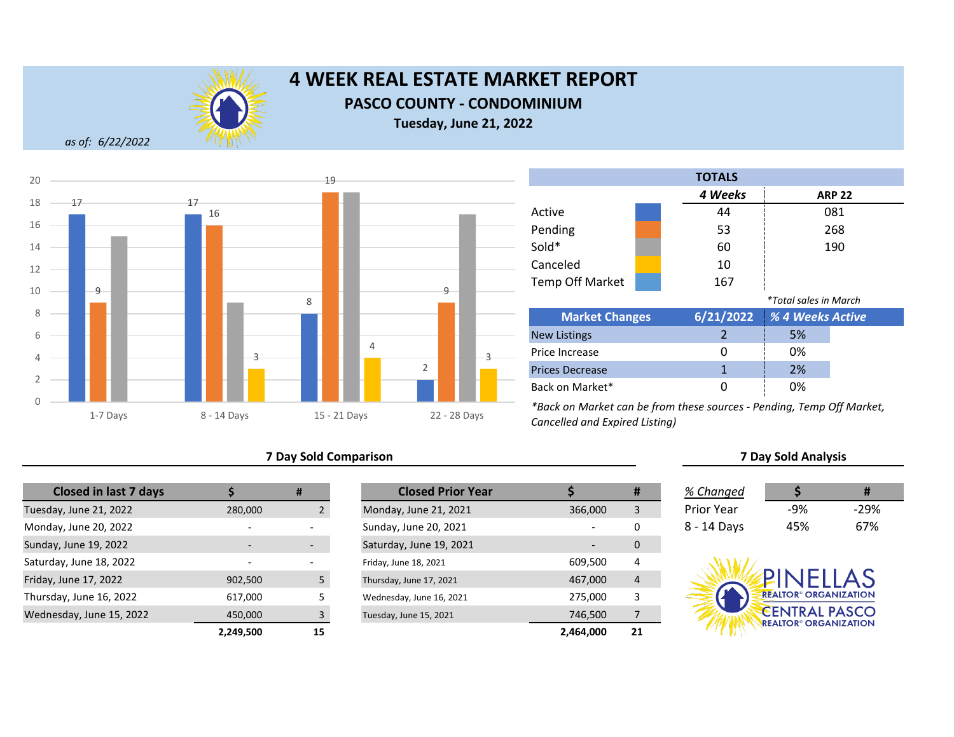

# **4 WEEK REAL ESTATE MARKET REPORT**

## **PASCO COUNTY - CONDOMINIUM**

**Tuesday, June 21, 2022**

*as of: 6/22/2022*



|                        | <b>TOTALS</b> |                              |               |
|------------------------|---------------|------------------------------|---------------|
|                        | 4 Weeks       |                              | <b>ARP 22</b> |
| Active                 | 44            |                              | 081           |
| Pending                | 53            |                              | 268           |
| Sold*                  | 60            |                              | 190           |
| Canceled               | 10            |                              |               |
| <b>Temp Off Market</b> | 167           |                              |               |
|                        |               | <i>*Total sales in March</i> |               |
| <b>Market Changes</b>  | 6/21/2022     | % 4 Weeks Active             |               |
| Now Listings           | ำ             | E <sub>0</sub>               |               |

| <b>Market Changes</b>  | 6/21/2022  % 4 Weeks Active |  |
|------------------------|-----------------------------|--|
| <b>New Listings</b>    | 5%                          |  |
| Price Increase         | 0%                          |  |
| <b>Prices Decrease</b> | 2%                          |  |
| Back on Market*        | 0%                          |  |

*\*Back on Market can be from these sources - Pending, Temp Off Market, Cancelled and Expired Listing)*

### **7 Day Sold Comparison 7 Day Sold Analysis**

| <b>Closed in last 7 days</b> |           | #  | <b>Closed Prior Year</b> |           |
|------------------------------|-----------|----|--------------------------|-----------|
| Tuesday, June 21, 2022       | 280,000   |    | Monday, June 21, 2021    | 366,000   |
| Monday, June 20, 2022        |           |    | Sunday, June 20, 2021    |           |
| Sunday, June 19, 2022        |           |    | Saturday, June 19, 2021  |           |
| Saturday, June 18, 2022      |           | ٠  | Friday, June 18, 2021    | 609,500   |
| Friday, June 17, 2022        | 902,500   | 5  | Thursday, June 17, 2021  | 467,000   |
| Thursday, June 16, 2022      | 617,000   | 5  | Wednesday, June 16, 2021 | 275,000   |
| Wednesday, June 15, 2022     | 450,000   | 3  | Tuesday, June 15, 2021   | 746,500   |
|                              | 2.249.500 | 15 |                          | 2.464.000 |

|                          | #                        | <b>Closed Prior Year</b> |                          | #  | % Changed         |                                         | #      |
|--------------------------|--------------------------|--------------------------|--------------------------|----|-------------------|-----------------------------------------|--------|
| 280,000                  |                          | Monday, June 21, 2021    | 366,000                  | 3  | <b>Prior Year</b> | -9%                                     | $-29%$ |
| $\sim$                   |                          | Sunday, June 20, 2021    |                          | 0  | 8 - 14 Days       | 45%                                     | 67%    |
|                          | $\overline{\phantom{a}}$ | Saturday, June 19, 2021  | $\overline{\phantom{0}}$ | 0  |                   |                                         |        |
| $\overline{\phantom{0}}$ |                          | Friday, June 18, 2021    | 609,500                  | 4  |                   |                                         |        |
| 902,500                  | 5.                       | Thursday, June 17, 2021  | 467,000                  | 4  |                   | <b>PINFILAS</b>                         |        |
| 617,000                  |                          | Wednesday, June 16, 2021 | 275,000                  | 3  |                   | <b>REALTOR® ORGANIZATION</b>            |        |
| 450,000                  |                          | Tuesday, June 15, 2021   | 746,500                  |    |                   | <b>CENTRAL PASCO</b>                    |        |
| 2,249,500                | 15                       |                          | 2,464,000                | 21 |                   | <b>REALTOR<sup>®</sup> ORGANIZATION</b> |        |

| % Changed   |     | Ħ    |  |
|-------------|-----|------|--|
| Prior Year  | -9% | -29% |  |
| 3 - 14 Days | 45% | 67%  |  |

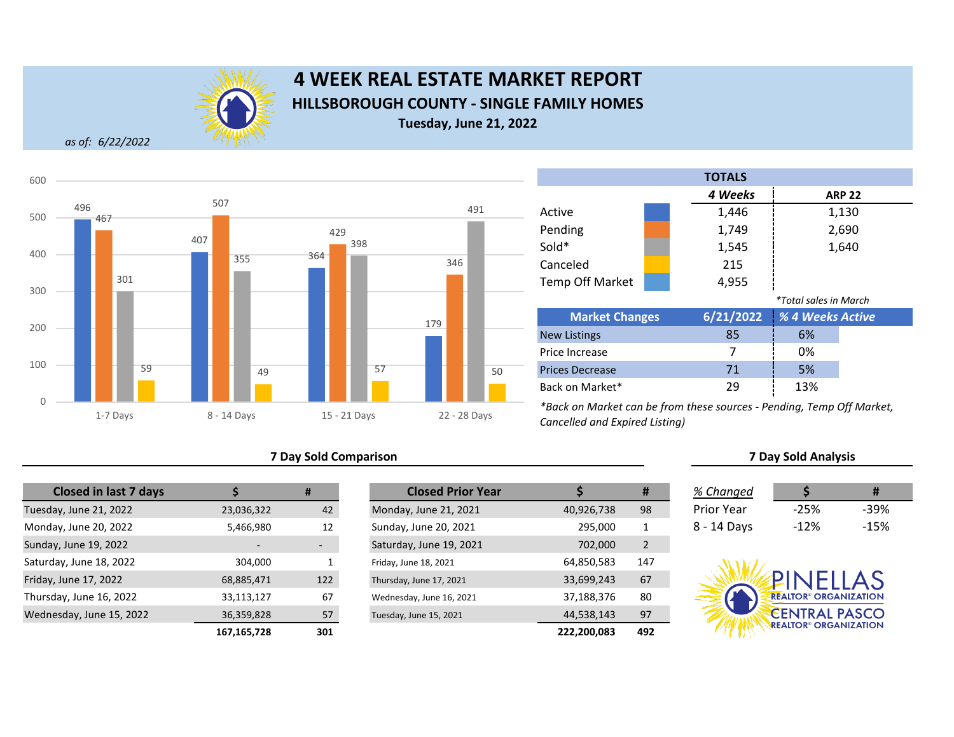

## **4 WEEK REAL ESTATE MARKET REPORT HILLSBOROUGH COUNTY - SINGLE FAMILY HOMES Tuesday, June 21, 2022**

*as of: 6/22/2022*



## **7 Day Sold Comparison 7 Day Sold Analysis**

| <b>Closed in last 7 days</b> |             | #   | <b>Closed Prior Year</b> |             |
|------------------------------|-------------|-----|--------------------------|-------------|
| Tuesday, June 21, 2022       | 23,036,322  | 42  | Monday, June 21, 2021    | 40,926,738  |
| Monday, June 20, 2022        | 5,466,980   | 12  | Sunday, June 20, 2021    | 295,000     |
| Sunday, June 19, 2022        |             |     | Saturday, June 19, 2021  | 702,000     |
| Saturday, June 18, 2022      | 304,000     | 1   | Friday, June 18, 2021    | 64,850,583  |
| Friday, June 17, 2022        | 68,885,471  | 122 | Thursday, June 17, 2021  | 33,699,243  |
| Thursday, June 16, 2022      | 33,113,127  | 67  | Wednesday, June 16, 2021 | 37,188,376  |
| Wednesday, June 15, 2022     | 36,359,828  | 57  | Tuesday, June 15, 2021   | 44,538,143  |
|                              | 167.165.728 | 301 |                          | 222.200.083 |

|                          | #   | <b>Closed Prior Year</b> |             | #              | % Changed   |                                         | #      |
|--------------------------|-----|--------------------------|-------------|----------------|-------------|-----------------------------------------|--------|
| 23,036,322               | 42  | Monday, June 21, 2021    | 40,926,738  | 98             | Prior Year  | $-25%$                                  | $-39%$ |
| 5,466,980                | 12  | Sunday, June 20, 2021    | 295.000     | 1              | 8 - 14 Days | $-12%$                                  | $-15%$ |
| $\overline{\phantom{a}}$ |     | Saturday, June 19, 2021  | 702,000     | $\overline{2}$ |             |                                         |        |
| 304,000                  |     | Friday, June 18, 2021    | 64,850,583  | 147            |             |                                         |        |
| 68,885,471               | 122 | Thursday, June 17, 2021  | 33,699,243  | 67             |             | PINELLAS                                |        |
| 33,113,127               | 67  | Wednesday, June 16, 2021 | 37,188,376  | 80             |             | <b>REALTOR® ORGANIZATION</b>            |        |
| 36,359,828               | 57  | Tuesday, June 15, 2021   | 44,538,143  | 97             |             | <b>CENTRAL PASCO</b>                    |        |
| 167, 165, 728            | 301 |                          | 222,200,083 | 492            |             | <b>REALTOR<sup>®</sup> ORGANIZATION</b> |        |

|                       |  | <b>TOTALS</b> |                              |
|-----------------------|--|---------------|------------------------------|
|                       |  | 4 Weeks       | <b>ARP 22</b>                |
| Active                |  | 1,446         | 1,130                        |
| Pending               |  | 1,749         | 2,690                        |
| Sold*                 |  | 1,545         | 1,640                        |
| Canceled              |  | 215           |                              |
| Temp Off Market       |  | 4,955         |                              |
|                       |  |               | <i>*Total sales in March</i> |
| <b>Market Changes</b> |  |               | 6/21/2022 % 4 Weeks Active   |

| <b>IVIATKET CHANGES</b> | $b / 21 / 2022$ $% 4$ weeks Active |     |  |
|-------------------------|------------------------------------|-----|--|
| <b>New Listings</b>     | 85                                 | 6%  |  |
| Price Increase          |                                    | 0%  |  |
| <b>Prices Decrease</b>  | 71                                 | 5%  |  |
| Back on Market*         | 29                                 | 13% |  |

| % Changed         |      | Ħ       |
|-------------------|------|---------|
| <b>Prior Year</b> | -25% | -39%    |
| 8 - 14 Days       | -12% | $-1.5%$ |

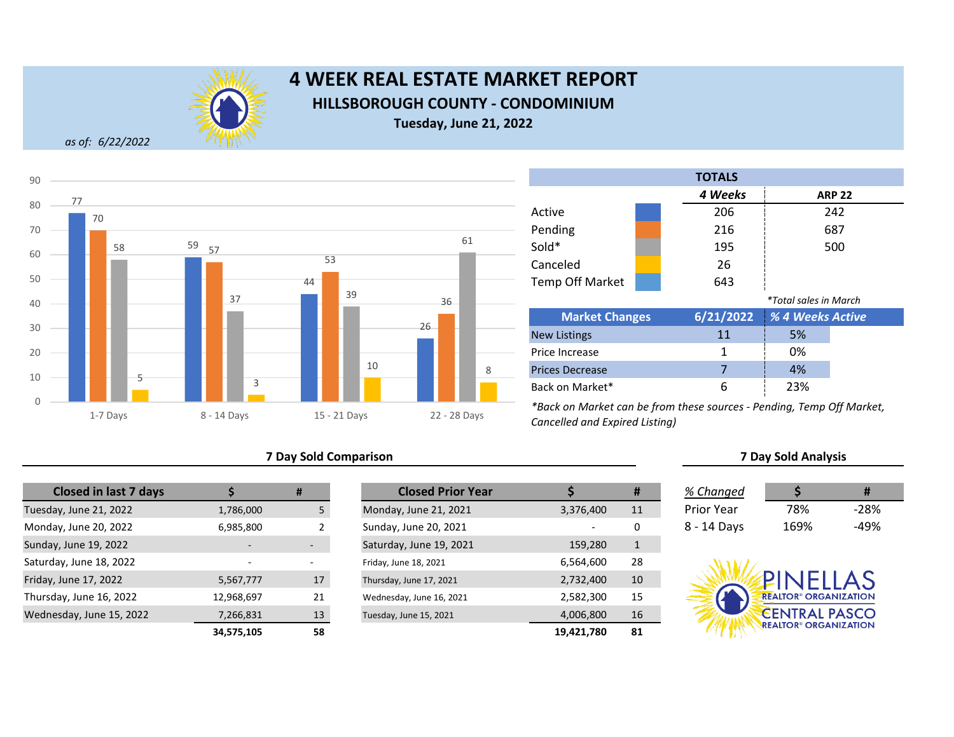

# **4 WEEK REAL ESTATE MARKET REPORT HILLSBOROUGH COUNTY - CONDOMINIUM**

**Tuesday, June 21, 2022**

*as of: 6/22/2022*



## **7 Day Sold Comparison 7 Day Sold Analysis**

| <b>Closed in last 7 days</b> |                          | #  | <b>Closed Prior Year</b> |            |
|------------------------------|--------------------------|----|--------------------------|------------|
| Tuesday, June 21, 2022       | 1,786,000                | 5  | Monday, June 21, 2021    | 3,376,400  |
| Monday, June 20, 2022        | 6,985,800                | 2  | Sunday, June 20, 2021    |            |
| Sunday, June 19, 2022        | $\overline{\phantom{a}}$ |    | Saturday, June 19, 2021  | 159,280    |
| Saturday, June 18, 2022      |                          |    | Friday, June 18, 2021    | 6,564,600  |
| Friday, June 17, 2022        | 5,567,777                | 17 | Thursday, June 17, 2021  | 2,732,400  |
| Thursday, June 16, 2022      | 12,968,697               | 21 | Wednesday, June 16, 2021 | 2,582,300  |
| Wednesday, June 15, 2022     | 7,266,831                | 13 | Tuesday, June 15, 2021   | 4,006,800  |
|                              | 34.575.105               | 58 |                          | 19.421.780 |

|                          | #  | <b>Closed Prior Year</b> |            | #  | % Changed   |                                         |        |
|--------------------------|----|--------------------------|------------|----|-------------|-----------------------------------------|--------|
| 1,786,000                |    | Monday, June 21, 2021    | 3,376,400  | 11 | Prior Year  | 78%                                     | $-28%$ |
| 6,985,800                |    | Sunday, June 20, 2021    |            | 0  | 8 - 14 Days | 169%                                    | $-49%$ |
|                          |    | Saturday, June 19, 2021  | 159,280    | 1  |             |                                         |        |
| $\overline{\phantom{0}}$ |    | Friday, June 18, 2021    | 6,564,600  | 28 |             |                                         |        |
| 5,567,777                | 17 | Thursday, June 17, 2021  | 2,732,400  | 10 |             | PINELLAS                                |        |
| 12,968,697               | 21 | Wednesday, June 16, 2021 | 2,582,300  | 15 |             | <b>REALTOR<sup>®</sup> ORGANIZATION</b> |        |
| 7,266,831                | 13 | Tuesday, June 15, 2021   | 4,006,800  | 16 |             | <b>CENTRAL PASCO</b>                    |        |
| 34,575,105               | 58 |                          | 19,421,780 | 81 |             | <b>REALTOR<sup>®</sup> ORGANIZATION</b> |        |

| <b>TOTALS</b>                |     |     |  |  |  |  |
|------------------------------|-----|-----|--|--|--|--|
| 4 Weeks<br><b>ARP 22</b>     |     |     |  |  |  |  |
|                              | 206 | 242 |  |  |  |  |
|                              | 216 | 687 |  |  |  |  |
|                              | 195 | 500 |  |  |  |  |
|                              | 26  |     |  |  |  |  |
|                              | 643 |     |  |  |  |  |
| <i>*Total sales in March</i> |     |     |  |  |  |  |
|                              |     |     |  |  |  |  |

| <b>Market Changes</b>  |    | 6/21/2022 % 4 Weeks Active |  |
|------------------------|----|----------------------------|--|
| <b>New Listings</b>    | 11 | 5%                         |  |
| Price Increase         |    | 0%                         |  |
| <b>Prices Decrease</b> |    | 4%                         |  |
| Back on Market*        |    | 23%                        |  |

| 6 Changed   |      | Ħ    |
|-------------|------|------|
| 'rior Year  | 78%  | -28% |
| : - 14 Davs | 169% |      |

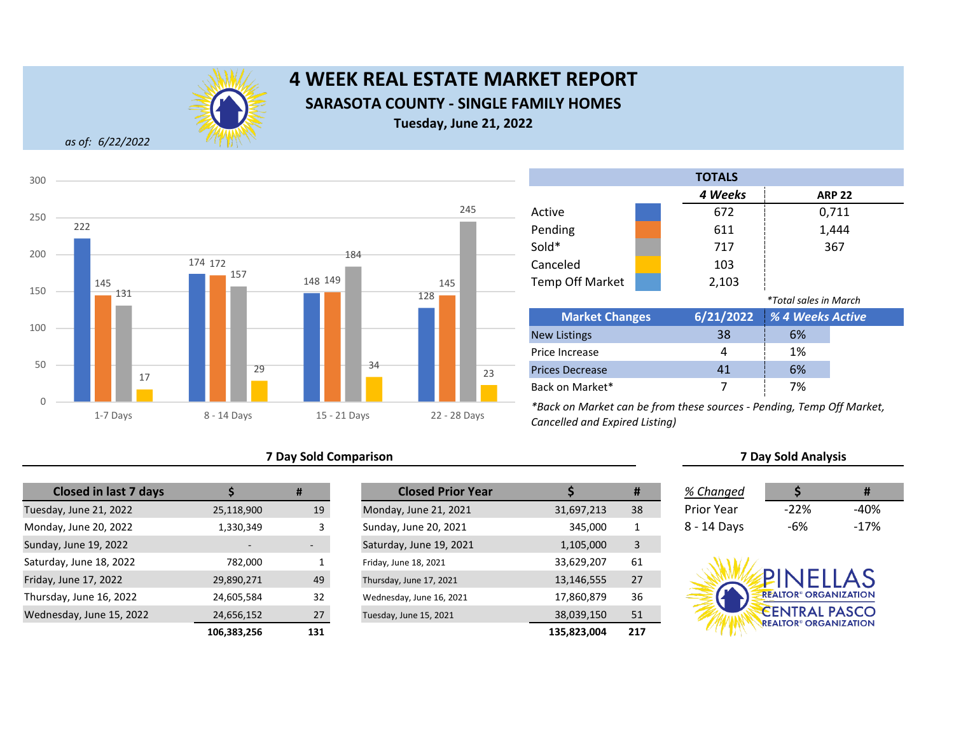

## **4 WEEK REAL ESTATE MARKET REPORT SARASOTA COUNTY - SINGLE FAMILY HOMES Tuesday, June 21, 2022**

*as of: 6/22/2022*



## **7 Day Sold Comparison 7 Day Sold Analysis**

| <b>Closed in last 7 days</b> |             | #   | <b>Closed Prior Year</b> |             |
|------------------------------|-------------|-----|--------------------------|-------------|
| Tuesday, June 21, 2022       | 25,118,900  | 19  | Monday, June 21, 2021    | 31,697,213  |
| Monday, June 20, 2022        | 1,330,349   | 3   | Sunday, June 20, 2021    | 345,000     |
| Sunday, June 19, 2022        |             |     | Saturday, June 19, 2021  | 1,105,000   |
| Saturday, June 18, 2022      | 782,000     |     | Friday, June 18, 2021    | 33,629,207  |
| Friday, June 17, 2022        | 29,890,271  | 49  | Thursday, June 17, 2021  | 13,146,555  |
| Thursday, June 16, 2022      | 24,605,584  | 32  | Wednesday, June 16, 2021 | 17,860,879  |
| Wednesday, June 15, 2022     | 24,656,152  | 27  | Tuesday, June 15, 2021   | 38,039,150  |
|                              | 106.383.256 | 131 |                          | 135.823.004 |

|             | #   | <b>Closed Prior Year</b> |             | #   | % Changed   |                                                                 | #      |
|-------------|-----|--------------------------|-------------|-----|-------------|-----------------------------------------------------------------|--------|
| 25,118,900  | 19  | Monday, June 21, 2021    | 31,697,213  | 38  | Prior Year  | $-22%$                                                          | $-40%$ |
| 1,330,349   |     | Sunday, June 20, 2021    | 345,000     |     | 8 - 14 Days | -6%                                                             | $-17%$ |
|             |     | Saturday, June 19, 2021  | 1,105,000   | 3   |             |                                                                 |        |
| 782,000     |     | Friday, June 18, 2021    | 33,629,207  | 61  |             |                                                                 |        |
| 29,890,271  | 49  | Thursday, June 17, 2021  | 13,146,555  | 27  |             | PINFILAS                                                        |        |
| 24,605,584  | 32  | Wednesday, June 16, 2021 | 17,860,879  | 36  |             | <b>REALTOR® ORGANIZATION</b>                                    |        |
| 24,656,152  | 27  | Tuesday, June 15, 2021   | 38,039,150  | 51  |             | <b>CENTRAL PASCO</b><br><b>REALTOR<sup>®</sup> ORGANIZATION</b> |        |
| 106,383,256 | 131 |                          | 135,823,004 | 217 |             |                                                                 |        |

|                              |  | <b>TOTALS</b> |                  |               |  |
|------------------------------|--|---------------|------------------|---------------|--|
|                              |  | 4 Weeks       |                  | <b>ARP 22</b> |  |
| Active                       |  | 672           |                  | 0,711         |  |
| Pending                      |  | 611           |                  | 1,444         |  |
| Sold*                        |  | 717           |                  | 367           |  |
| Canceled                     |  | 103           |                  |               |  |
| <b>Temp Off Market</b>       |  | 2,103         |                  |               |  |
| <i>*Total sales in March</i> |  |               |                  |               |  |
| <b>Market Changes</b>        |  | 6/21/2022     | % 4 Weeks Active |               |  |
|                              |  |               |                  |               |  |

| <b>IVIATKET CHANGES</b> |    | $\frac{6}{21}$ zuzz $\frac{76}{10}$ weeks active |  |
|-------------------------|----|--------------------------------------------------|--|
| <b>New Listings</b>     | 38 | 6%                                               |  |
| Price Increase          |    | 1%                                               |  |
| <b>Prices Decrease</b>  |    | 6%                                               |  |
| Back on Market*         |    | 7%                                               |  |

| % Changed   |         | Ħ      |
|-------------|---------|--------|
| Prior Year  | $-22\%$ | -40%   |
| 8 - 14 Days | -6%     | $-17%$ |

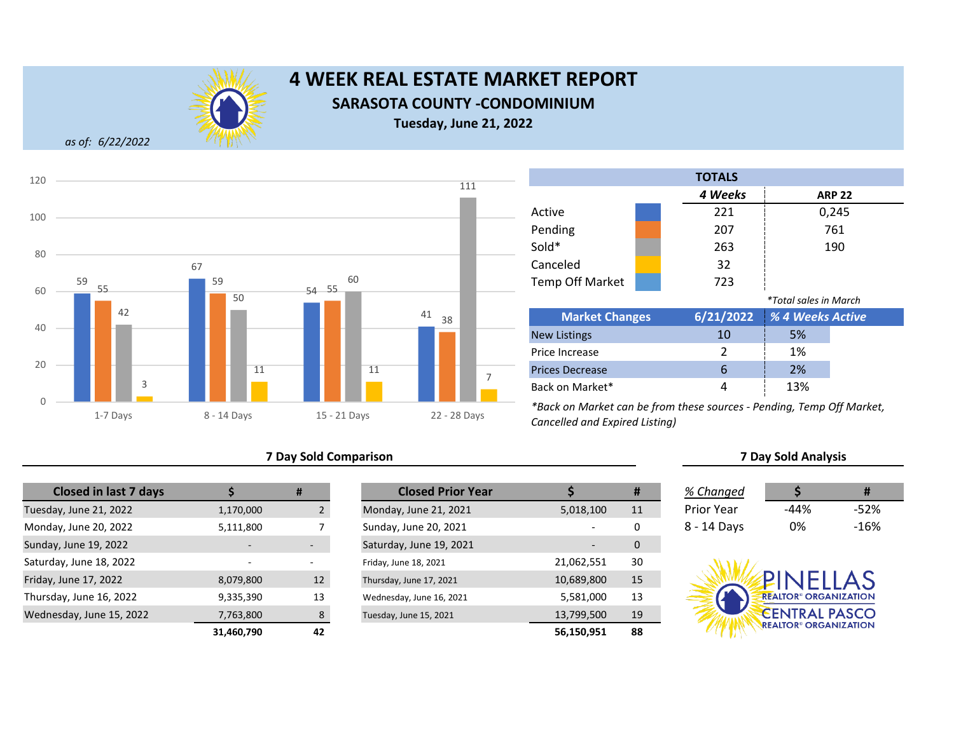

# **4 WEEK REAL ESTATE MARKET REPORT SARASOTA COUNTY -CONDOMINIUM**

**Tuesday, June 21, 2022**

*as of: 6/22/2022*



|                        | <b>TOTALS</b> |                              |               |
|------------------------|---------------|------------------------------|---------------|
|                        | 4 Weeks       |                              | <b>ARP 22</b> |
| Active                 | 221           |                              | 0,245         |
| Pending                | 207           |                              | 761           |
| Sold*                  | 263           |                              | 190           |
| Canceled               | 32            |                              |               |
| <b>Temp Off Market</b> | 723           |                              |               |
|                        |               | <i>*Total sales in March</i> |               |
| <b>Market Changes</b>  | 6/21/2022     | % 4 Weeks Active             |               |
| <b>New Listings</b>    | 10            | 5%                           |               |

| <b>Market Changes</b>  |    | 6/21/2022 % 4 Weeks Active |  |
|------------------------|----|----------------------------|--|
| <b>New Listings</b>    | 10 | 5%                         |  |
| Price Increase         |    | 1%                         |  |
| <b>Prices Decrease</b> |    | 2%                         |  |
| Back on Market*        |    | 13%                        |  |

*\*Back on Market can be from these sources - Pending, Temp Off Market, Cancelled and Expired Listing)*

## **7 Day Sold Comparison 7 Day Sold Analysis**

| <b>Closed in last 7 days</b> |                          | #              | <b>Closed Prior Year</b> |  |
|------------------------------|--------------------------|----------------|--------------------------|--|
| Tuesday, June 21, 2022       | 1,170,000                | $\overline{2}$ | Monday, June 21, 2021    |  |
| Monday, June 20, 2022        | 5,111,800                |                | Sunday, June 20, 2021    |  |
| Sunday, June 19, 2022        | $\overline{\phantom{0}}$ |                | Saturday, June 19, 2021  |  |
| Saturday, June 18, 2022      | ٠                        | ۰              | Friday, June 18, 2021    |  |
| Friday, June 17, 2022        | 8,079,800                | 12             | Thursday, June 17, 2021  |  |
| Thursday, June 16, 2022      | 9,335,390                | 13             | Wednesday, June 16, 2021 |  |
| Wednesday, June 15, 2022     | 7,763,800                | 8              | Tuesday, June 15, 2021   |  |
|                              | 31.460.790               | 42             |                          |  |

|            | #  | <b>Closed Prior Year</b> |            | #  | % Changed         |                                         | #      |
|------------|----|--------------------------|------------|----|-------------------|-----------------------------------------|--------|
| 1,170,000  |    | Monday, June 21, 2021    | 5,018,100  | 11 | <b>Prior Year</b> | $-44%$                                  | $-52%$ |
| 5,111,800  |    | Sunday, June 20, 2021    |            | 0  | 8 - 14 Days       | 0%                                      | $-16%$ |
|            | ۰. | Saturday, June 19, 2021  |            | 0  |                   |                                         |        |
| $\sim$     |    | Friday, June 18, 2021    | 21,062,551 | 30 |                   |                                         |        |
| 8,079,800  | 12 | Thursday, June 17, 2021  | 10,689,800 | 15 |                   | PINFILAS                                |        |
| 9,335,390  | 13 | Wednesday, June 16, 2021 | 5,581,000  | 13 |                   | <b>REALTOR® ORGANIZATION</b>            |        |
| 7,763,800  | 8  | Tuesday, June 15, 2021   | 13,799,500 | 19 |                   | <b>CENTRAL PASCO</b>                    |        |
| 31,460,790 | 42 |                          | 56,150,951 | 88 |                   | <b>REALTOR<sup>®</sup> ORGANIZATION</b> |        |

| % Changed   | S    | #      |  |
|-------------|------|--------|--|
| Prior Year  | -44% | $-52%$ |  |
| 3 - 14 Days | 0%   | $-16%$ |  |

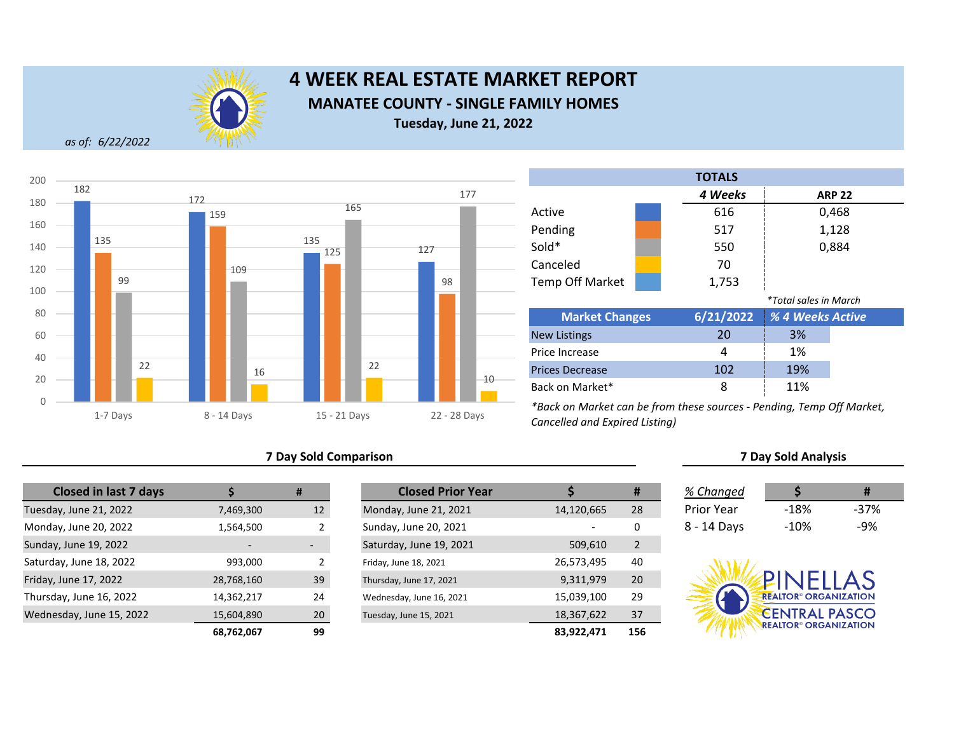

## **4 WEEK REAL ESTATE MARKET REPORT MANATEE COUNTY - SINGLE FAMILY HOMES Tuesday, June 21, 2022**

*as of: 6/22/2022*



### **7 Day Sold Comparison 7 Day Sold Analysis**

| <b>Closed in last 7 days</b> |            | #               | <b>Closed Prior Year</b> |            |
|------------------------------|------------|-----------------|--------------------------|------------|
| Tuesday, June 21, 2022       | 7,469,300  | 12 <sup>2</sup> | Monday, June 21, 2021    | 14,120,665 |
| Monday, June 20, 2022        | 1,564,500  | 2               | Sunday, June 20, 2021    |            |
| Sunday, June 19, 2022        |            |                 | Saturday, June 19, 2021  | 509,610    |
| Saturday, June 18, 2022      | 993.000    | 2               | Friday, June 18, 2021    | 26,573,495 |
| Friday, June 17, 2022        | 28,768,160 | 39              | Thursday, June 17, 2021  | 9,311,979  |
| Thursday, June 16, 2022      | 14,362,217 | 24              | Wednesday, June 16, 2021 | 15,039,100 |
| Wednesday, June 15, 2022     | 15,604,890 | 20              | Tuesday, June 15, 2021   | 18,367,622 |
|                              | 68.762.067 | 99              |                          | 83.922.471 |

|                          | #                        | <b>Closed Prior Year</b> |            | #              | % Changed         |                                         | #      |
|--------------------------|--------------------------|--------------------------|------------|----------------|-------------------|-----------------------------------------|--------|
| 7,469,300                | 12                       | Monday, June 21, 2021    | 14,120,665 | 28             | <b>Prior Year</b> | $-18%$                                  | $-37%$ |
| 1,564,500                |                          | Sunday, June 20, 2021    |            | 0              | 8 - 14 Days       | $-10%$                                  | -9%    |
| $\overline{\phantom{0}}$ | $\overline{\phantom{a}}$ | Saturday, June 19, 2021  | 509,610    | $\overline{2}$ |                   |                                         |        |
| 993,000                  |                          | Friday, June 18, 2021    | 26,573,495 | 40             |                   |                                         |        |
| 28,768,160               | 39                       | Thursday, June 17, 2021  | 9,311,979  | 20             |                   | PINFILAS                                |        |
| 14,362,217               | 24                       | Wednesday, June 16, 2021 | 15,039,100 | 29             |                   | <b>REALTOR<sup>®</sup> ORGANIZATION</b> |        |
| 15,604,890               | 20                       | Tuesday, June 15, 2021   | 18,367,622 | 37             |                   | <b>CENTRAL PASCO</b>                    |        |
| 68,762,067               | 99                       |                          | 83,922,471 | 156            |                   | <b>REALTOR<sup>®</sup> ORGANIZATION</b> |        |

|  |                                           |  | <b>TOTALS</b> |                              |               |
|--|-------------------------------------------|--|---------------|------------------------------|---------------|
|  |                                           |  | 4 Weeks       |                              | <b>ARP 22</b> |
|  | Active                                    |  | 616           |                              | 0,468         |
|  | Pending                                   |  | 517           |                              | 1,128         |
|  | Sold*                                     |  | 550           |                              | 0,884         |
|  | Canceled                                  |  | 70            |                              |               |
|  | <b>Temp Off Market</b>                    |  | 1,753         |                              |               |
|  |                                           |  |               | <i>*Total sales in March</i> |               |
|  | <b>Market Changes</b>                     |  | 6/21/2022     | % 4 Weeks Active             |               |
|  | <b>New Listings</b>                       |  | 20            | 3%                           |               |
|  | Price Increase                            |  | 4             | 1%                           |               |
|  | <b>Prices Decrease</b><br>Back on Market* |  | 102           | 19%                          |               |
|  |                                           |  | 8             | 11%                          |               |

| % Changed   |         | Ħ      |
|-------------|---------|--------|
| Prior Year  | $-18%$  | $-37%$ |
| 3 - 14 Days | $-10\%$ | $-9%$  |